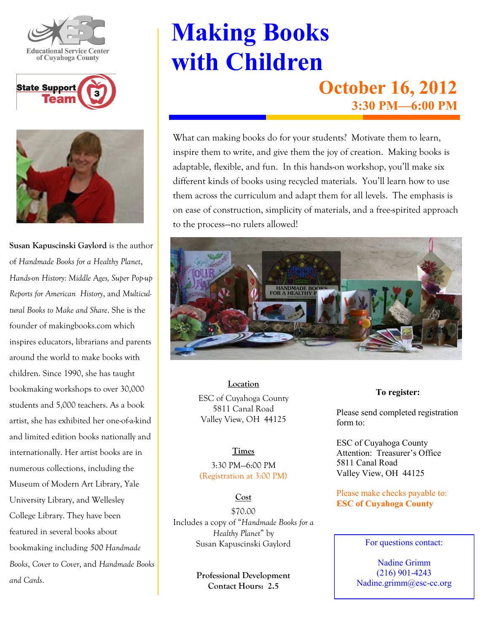





**Susan Kapuscinski Gaylord** is the author of *Handmade Books for a Healthy Planet*, *Hands-on History: Middle Ages, Super Pop-up Reports for American History*, and *Multicultural Books to Make and Share*. She is the founder of makingbooks.com which inspires educators, librarians and parents around the world to make books with children. Since 1990, she has taught bookmaking workshops to over 30,000 students and 5,000 teachers. As a book artist, she has exhibited her one-of-a-kind and limited edition books nationally and internationally. Her artist books are in numerous collections, including the Museum of Modern Art Library, Yale University Library, and Wellesley College Library. They have been featured in several books about bookmaking including *500 Handmade Books*, *Cover to Cover*, and *Handmade Books and Cards*.

## **Making Books with Children October 16, 2012**

**3:30 PM—6:00 PM**

What can making books do for your students? Motivate them to learn, inspire them to write, and give them the joy of creation. Making books is adaptable, flexible, and fun. In this hands-on workshop, you'll make six different kinds of books using recycled materials. You'll learn how to use them across the curriculum and adapt them for all levels. The emphasis is on ease of construction, simplicity of materials, and a free-spirited approach to the process—no rulers allowed!



**Location** ESC of Cuyahoga County 5811 Canal Road Valley View, OH 44125

## **Times**

3:30 PM—6:00 PM (Registration at 3:00 PM)

## **Cost**

\$70.00 Includes a copy of "*Handmade Books for a Healthy Planet*" by Susan Kapuscinski Gaylord

> **Professional Development Contact Hours: 2.5**

**To register:**

Please send completed registration form to:

ESC of Cuyahoga County Attention: Treasurer's Office 5811 Canal Road Valley View, OH 44125

Please make checks payable to: **ESC of Cuyahoga County**

For questions contact:

Nadine Grimm (216) 901-4243 Nadine.grimm@esc-cc.org